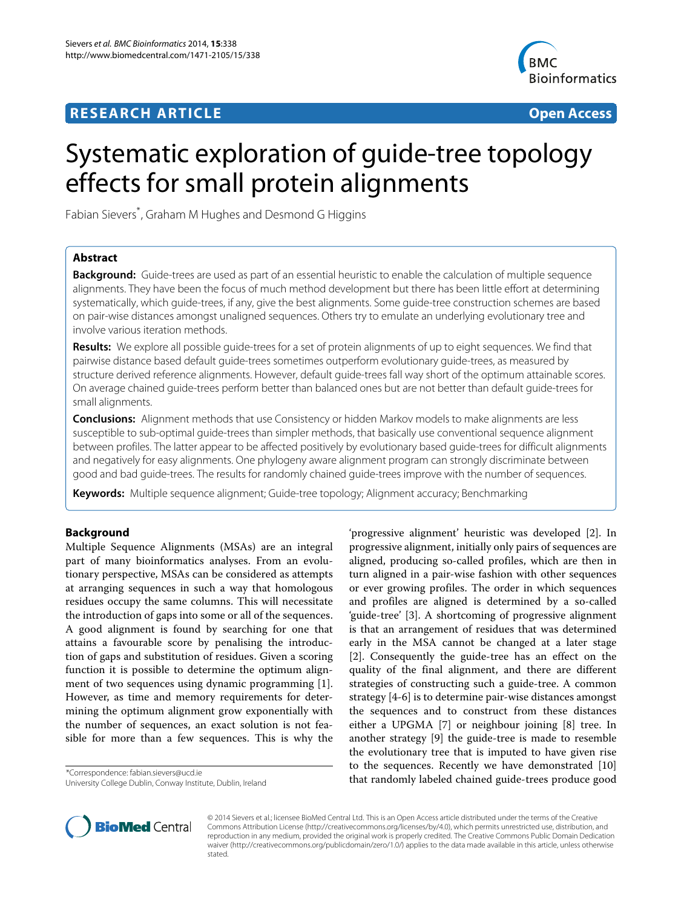## **RESEARCH ARTICLE Open Access**



# Systematic exploration of guide-tree topology effects for small protein alignments

Fabian Sievers\* , Graham M Hughes and Desmond G Higgins

## **Abstract**

**Background:** Guide-trees are used as part of an essential heuristic to enable the calculation of multiple sequence alignments. They have been the focus of much method development but there has been little effort at determining systematically, which guide-trees, if any, give the best alignments. Some guide-tree construction schemes are based on pair-wise distances amongst unaligned sequences. Others try to emulate an underlying evolutionary tree and involve various iteration methods.

**Results:** We explore all possible guide-trees for a set of protein alignments of up to eight sequences. We find that pairwise distance based default guide-trees sometimes outperform evolutionary guide-trees, as measured by structure derived reference alignments. However, default guide-trees fall way short of the optimum attainable scores. On average chained guide-trees perform better than balanced ones but are not better than default guide-trees for small alignments.

**Conclusions:** Alignment methods that use Consistency or hidden Markov models to make alignments are less susceptible to sub-optimal guide-trees than simpler methods, that basically use conventional sequence alignment between profiles. The latter appear to be affected positively by evolutionary based guide-trees for difficult alignments and negatively for easy alignments. One phylogeny aware alignment program can strongly discriminate between good and bad guide-trees. The results for randomly chained guide-trees improve with the number of sequences.

**Keywords:** Multiple sequence alignment; Guide-tree topology; Alignment accuracy; Benchmarking

## **Background**

Multiple Sequence Alignments (MSAs) are an integral part of many bioinformatics analyses. From an evolutionary perspective, MSAs can be considered as attempts at arranging sequences in such a way that homologous residues occupy the same columns. This will necessitate the introduction of gaps into some or all of the sequences. A good alignment is found by searching for one that attains a favourable score by penalising the introduction of gaps and substitution of residues. Given a scoring function it is possible to determine the optimum alignment of two sequences using dynamic programming [\[1\]](#page-10-0). However, as time and memory requirements for determining the optimum alignment grow exponentially with the number of sequences, an exact solution is not feasible for more than a few sequences. This is why the

\*Correspondence: [fabian.sievers@ucd.ie](mailto:fabian.sievers@ucd.ie)

'progressive alignment' heuristic was developed [\[2\]](#page-10-1). In progressive alignment, initially only pairs of sequences are aligned, producing so-called profiles, which are then in turn aligned in a pair-wise fashion with other sequences or ever growing profiles. The order in which sequences and profiles are aligned is determined by a so-called 'guide-tree' [\[3\]](#page-10-2). A shortcoming of progressive alignment is that an arrangement of residues that was determined early in the MSA cannot be changed at a later stage [\[2\]](#page-10-1). Consequently the guide-tree has an effect on the quality of the final alignment, and there are different strategies of constructing such a guide-tree. A common strategy [\[4](#page-10-3)[-6\]](#page-10-4) is to determine pair-wise distances amongst the sequences and to construct from these distances either a UPGMA [\[7\]](#page-10-5) or neighbour joining [\[8\]](#page-10-6) tree. In another strategy [\[9\]](#page-10-7) the guide-tree is made to resemble the evolutionary tree that is imputed to have given rise to the sequences. Recently we have demonstrated [\[10\]](#page-10-8) that randomly labeled chained guide-trees produce good



© 2014 Sievers et al.; licensee BioMed Central Ltd. This is an Open Access article distributed under the terms of the Creative Commons Attribution License [\(http://creativecommons.org/licenses/by/4.0\)](http://creativecommons.org/licenses/by/4.0), which permits unrestricted use, distribution, and reproduction in any medium, provided the original work is properly credited. The Creative Commons Public Domain Dedication waiver [\(http://creativecommons.org/publicdomain/zero/1.0/\)](http://creativecommons.org/publicdomain/zero/1.0/) applies to the data made available in this article, unless otherwise stated.

University College Dublin, Conway Institute, Dublin, Ireland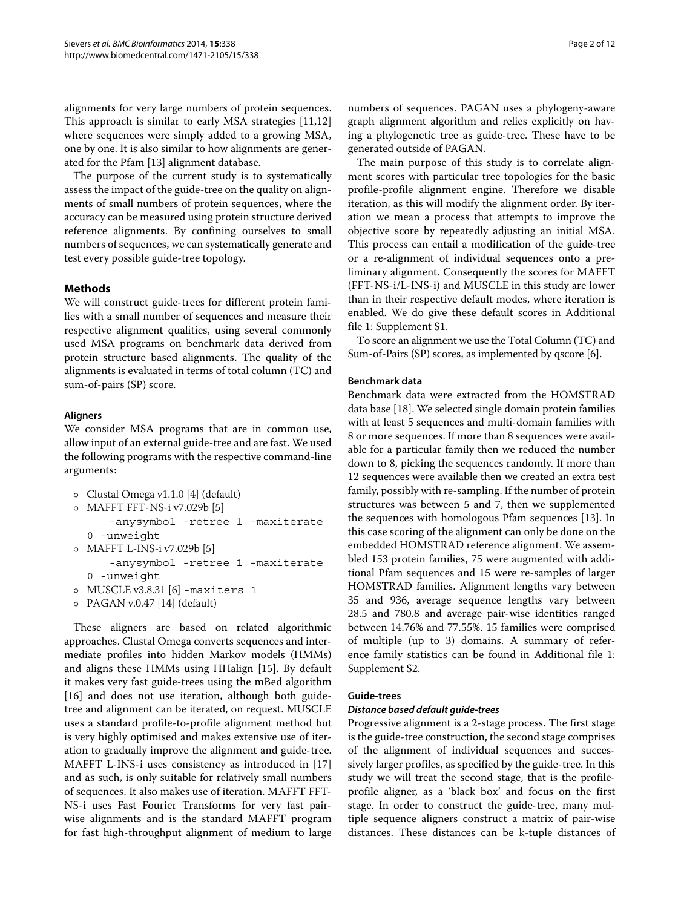alignments for very large numbers of protein sequences. This approach is similar to early MSA strategies [\[11,](#page-10-9)[12\]](#page-10-10) where sequences were simply added to a growing MSA, one by one. It is also similar to how alignments are generated for the Pfam [\[13\]](#page-10-11) alignment database.

The purpose of the current study is to systematically assess the impact of the guide-tree on the quality on alignments of small numbers of protein sequences, where the accuracy can be measured using protein structure derived reference alignments. By confining ourselves to small numbers of sequences, we can systematically generate and test every possible guide-tree topology.

## **Methods**

We will construct guide-trees for different protein families with a small number of sequences and measure their respective alignment qualities, using several commonly used MSA programs on benchmark data derived from protein structure based alignments. The quality of the alignments is evaluated in terms of total column (TC) and sum-of-pairs (SP) score.

## **Aligners**

We consider MSA programs that are in common use, allow input of an external guide-tree and are fast. We used the following programs with the respective command-line arguments:

```
◦ Clustal Omega v1.1.0 [4] (default)
◦ MAFFT FFT-NS-i v7.029b [5]
      -anysymbol -retree 1 -maxiterate
  0 -unweight
◦ MAFFT L-INS-i v7.029b [5]
      -anysymbol -retree 1 -maxiterate
  0 -unweight
◦ MUSCLE v3.8.31 [6] -maxiters 1
```
◦ PAGAN v.0.47 [\[14\]](#page-10-13) (default)

These aligners are based on related algorithmic approaches. Clustal Omega converts sequences and intermediate profiles into hidden Markov models (HMMs) and aligns these HMMs using HHalign [\[15\]](#page-10-14). By default it makes very fast guide-trees using the mBed algorithm [\[16\]](#page-10-15) and does not use iteration, although both guidetree and alignment can be iterated, on request. MUSCLE uses a standard profile-to-profile alignment method but is very highly optimised and makes extensive use of iteration to gradually improve the alignment and guide-tree. MAFFT L-INS-i uses consistency as introduced in [\[17\]](#page-11-0) and as such, is only suitable for relatively small numbers of sequences. It also makes use of iteration. MAFFT FFT-NS-i uses Fast Fourier Transforms for very fast pairwise alignments and is the standard MAFFT program for fast high-throughput alignment of medium to large

numbers of sequences. PAGAN uses a phylogeny-aware graph alignment algorithm and relies explicitly on having a phylogenetic tree as guide-tree. These have to be generated outside of PAGAN.

The main purpose of this study is to correlate alignment scores with particular tree topologies for the basic profile-profile alignment engine. Therefore we disable iteration, as this will modify the alignment order. By iteration we mean a process that attempts to improve the objective score by repeatedly adjusting an initial MSA. This process can entail a modification of the guide-tree or a re-alignment of individual sequences onto a preliminary alignment. Consequently the scores for MAFFT (FFT-NS-i/L-INS-i) and MUSCLE in this study are lower than in their respective default modes, where iteration is enabled. We do give these default scores in Additional file [1:](#page-10-16) Supplement S1.

To score an alignment we use the Total Column (TC) and Sum-of-Pairs (SP) scores, as implemented by qscore [\[6\]](#page-10-4).

## **Benchmark data**

Benchmark data were extracted from the HOMSTRAD data base [\[18\]](#page-11-1). We selected single domain protein families with at least 5 sequences and multi-domain families with 8 or more sequences. If more than 8 sequences were available for a particular family then we reduced the number down to 8, picking the sequences randomly. If more than 12 sequences were available then we created an extra test family, possibly with re-sampling. If the number of protein structures was between 5 and 7, then we supplemented the sequences with homologous Pfam sequences [\[13\]](#page-10-11). In this case scoring of the alignment can only be done on the embedded HOMSTRAD reference alignment. We assembled 153 protein families, 75 were augmented with additional Pfam sequences and 15 were re-samples of larger HOMSTRAD families. Alignment lengths vary between 35 and 936, average sequence lengths vary between 28.5 and 780.8 and average pair-wise identities ranged between 14.76% and 77.55%. 15 families were comprised of multiple (up to 3) domains. A summary of reference family statistics can be found in Additional file [1:](#page-10-16) Supplement S2.

## **Guide-trees**

## *Distance based default guide-trees*

Progressive alignment is a 2-stage process. The first stage is the guide-tree construction, the second stage comprises of the alignment of individual sequences and successively larger profiles, as specified by the guide-tree. In this study we will treat the second stage, that is the profileprofile aligner, as a 'black box' and focus on the first stage. In order to construct the guide-tree, many multiple sequence aligners construct a matrix of pair-wise distances. These distances can be k-tuple distances of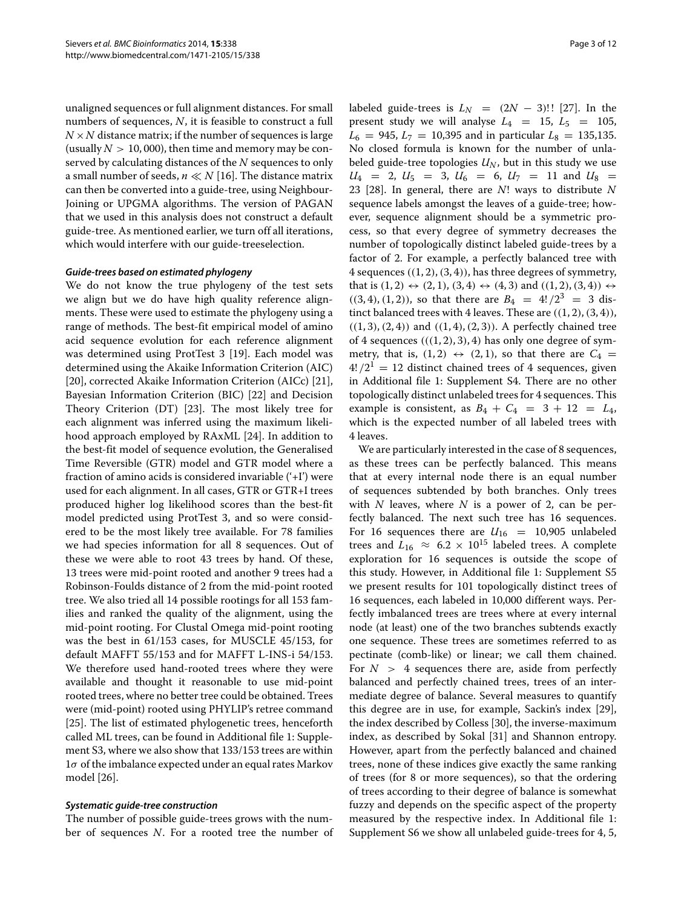unaligned sequences or full alignment distances. For small numbers of sequences, *N*, it is feasible to construct a full  $N \times N$  distance matrix; if the number of sequences is large (usually  $N > 10,000$ ), then time and memory may be conserved by calculating distances of the *N* sequences to only a small number of seeds,  $n \ll N$  [\[16\]](#page-10-15). The distance matrix can then be converted into a guide-tree, using Neighbour-Joining or UPGMA algorithms. The version of PAGAN that we used in this analysis does not construct a default guide-tree. As mentioned earlier, we turn off all iterations, which would interfere with our guide-treeselection.

## *Guide-trees based on estimated phylogeny*

We do not know the true phylogeny of the test sets we align but we do have high quality reference alignments. These were used to estimate the phylogeny using a range of methods. The best-fit empirical model of amino acid sequence evolution for each reference alignment was determined using ProtTest 3 [\[19\]](#page-11-2). Each model was determined using the Akaike Information Criterion (AIC) [\[20\]](#page-11-3), corrected Akaike Information Criterion (AICc) [\[21\]](#page-11-4), Bayesian Information Criterion (BIC) [\[22\]](#page-11-5) and Decision Theory Criterion (DT) [\[23\]](#page-11-6). The most likely tree for each alignment was inferred using the maximum likelihood approach employed by RAxML [\[24\]](#page-11-7). In addition to the best-fit model of sequence evolution, the Generalised Time Reversible (GTR) model and GTR model where a fraction of amino acids is considered invariable ('+I') were used for each alignment. In all cases, GTR or GTR+I trees produced higher log likelihood scores than the best-fit model predicted using ProtTest 3, and so were considered to be the most likely tree available. For 78 families we had species information for all 8 sequences. Out of these we were able to root 43 trees by hand. Of these, 13 trees were mid-point rooted and another 9 trees had a Robinson-Foulds distance of 2 from the mid-point rooted tree. We also tried all 14 possible rootings for all 153 families and ranked the quality of the alignment, using the mid-point rooting. For Clustal Omega mid-point rooting was the best in 61/153 cases, for MUSCLE 45/153, for default MAFFT 55/153 and for MAFFT L-INS-i 54/153. We therefore used hand-rooted trees where they were available and thought it reasonable to use mid-point rooted trees, where no better tree could be obtained. Trees were (mid-point) rooted using PHYLIP's retree command [\[25\]](#page-11-8). The list of estimated phylogenetic trees, henceforth called ML trees, can be found in Additional file [1:](#page-10-16) Supplement S3, where we also show that 133/153 trees are within 1σ of the imbalance expected under an equal rates Markov model [\[26\]](#page-11-9).

## *Systematic guide-tree construction*

The number of possible guide-trees grows with the number of sequences *N*. For a rooted tree the number of labeled guide-trees is  $L_N = (2N - 3)!!$  [\[27\]](#page-11-10). In the present study we will analyse  $L_4$  = 15,  $L_5$  = 105,  $L_6 = 945, L_7 = 10,395$  and in particular  $L_8 = 135,135$ . No closed formula is known for the number of unlabeled guide-tree topologies  $U_N$ , but in this study we use  $U_4$  = 2,  $U_5$  = 3,  $U_6$  = 6,  $U_7$  = 11 and  $U_8$  = 23 [\[28\]](#page-11-11). In general, there are *N*! ways to distribute *N* sequence labels amongst the leaves of a guide-tree; however, sequence alignment should be a symmetric process, so that every degree of symmetry decreases the number of topologically distinct labeled guide-trees by a factor of 2. For example, a perfectly balanced tree with 4 sequences  $((1, 2), (3, 4))$ , has three degrees of symmetry, that is  $(1, 2) \leftrightarrow (2, 1), (3, 4) \leftrightarrow (4, 3)$  and  $((1, 2), (3, 4)) \leftrightarrow$  $((3, 4), (1, 2))$ , so that there are  $B_4 = 4!/2^3 = 3$  distinct balanced trees with 4 leaves. These are  $((1, 2), (3, 4)),$  $((1, 3), (2, 4))$  and  $((1, 4), (2, 3))$ . A perfectly chained tree of 4 sequences  $(((1, 2), 3), 4)$  has only one degree of symmetry, that is,  $(1, 2) \leftrightarrow (2, 1)$ , so that there are  $C_4$  =  $4!/2<sup>1</sup> = 12$  distinct chained trees of 4 sequences, given in Additional file [1:](#page-10-16) Supplement S4. There are no other topologically distinct unlabeled trees for 4 sequences. This example is consistent, as  $B_4 + C_4 = 3 + 12 = L_4$ , which is the expected number of all labeled trees with 4 leaves.

We are particularly interested in the case of 8 sequences, as these trees can be perfectly balanced. This means that at every internal node there is an equal number of sequences subtended by both branches. Only trees with *N* leaves, where *N* is a power of 2, can be perfectly balanced. The next such tree has 16 sequences. For 16 sequences there are  $U_{16}$  = 10,905 unlabeled trees and  $L_{16} \approx 6.2 \times 10^{15}$  labeled trees. A complete exploration for 16 sequences is outside the scope of this study. However, in Additional file [1:](#page-10-16) Supplement S5 we present results for 101 topologically distinct trees of 16 sequences, each labeled in 10,000 different ways. Perfectly imbalanced trees are trees where at every internal node (at least) one of the two branches subtends exactly one sequence. These trees are sometimes referred to as pectinate (comb-like) or linear; we call them chained. For  $N > 4$  sequences there are, aside from perfectly balanced and perfectly chained trees, trees of an intermediate degree of balance. Several measures to quantify this degree are in use, for example, Sackin's index [\[29\]](#page-11-12), the index described by Colless [\[30\]](#page-11-13), the inverse-maximum index, as described by Sokal [\[31\]](#page-11-14) and Shannon entropy. However, apart from the perfectly balanced and chained trees, none of these indices give exactly the same ranking of trees (for 8 or more sequences), so that the ordering of trees according to their degree of balance is somewhat fuzzy and depends on the specific aspect of the property measured by the respective index. In Additional file [1:](#page-10-16) Supplement S6 we show all unlabeled guide-trees for 4, 5,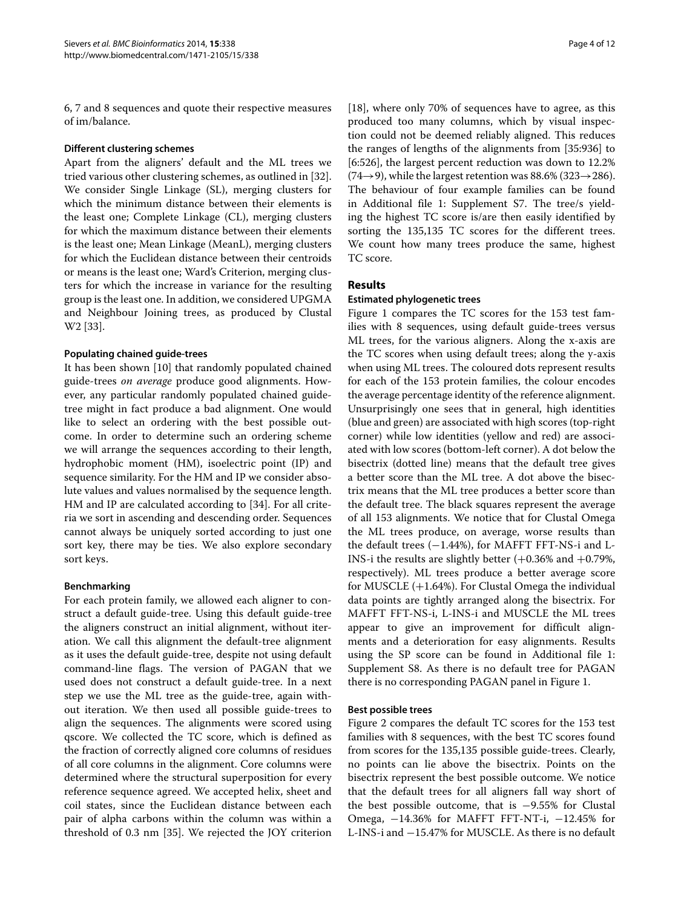6, 7 and 8 sequences and quote their respective measures of im/balance.

## **Different clustering schemes**

Apart from the aligners' default and the ML trees we tried various other clustering schemes, as outlined in [\[32\]](#page-11-15). We consider Single Linkage (SL), merging clusters for which the minimum distance between their elements is the least one; Complete Linkage (CL), merging clusters for which the maximum distance between their elements is the least one; Mean Linkage (MeanL), merging clusters for which the Euclidean distance between their centroids or means is the least one; Ward's Criterion, merging clusters for which the increase in variance for the resulting group is the least one. In addition, we considered UPGMA and Neighbour Joining trees, as produced by Clustal W2 [\[33\]](#page-11-16).

## **Populating chained guide-trees**

It has been shown [\[10\]](#page-10-8) that randomly populated chained guide-trees *on average* produce good alignments. However, any particular randomly populated chained guidetree might in fact produce a bad alignment. One would like to select an ordering with the best possible outcome. In order to determine such an ordering scheme we will arrange the sequences according to their length, hydrophobic moment (HM), isoelectric point (IP) and sequence similarity. For the HM and IP we consider absolute values and values normalised by the sequence length. HM and IP are calculated according to [\[34\]](#page-11-17). For all criteria we sort in ascending and descending order. Sequences cannot always be uniquely sorted according to just one sort key, there may be ties. We also explore secondary sort keys.

## **Benchmarking**

For each protein family, we allowed each aligner to construct a default guide-tree. Using this default guide-tree the aligners construct an initial alignment, without iteration. We call this alignment the default-tree alignment as it uses the default guide-tree, despite not using default command-line flags. The version of PAGAN that we used does not construct a default guide-tree. In a next step we use the ML tree as the guide-tree, again without iteration. We then used all possible guide-trees to align the sequences. The alignments were scored using qscore. We collected the TC score, which is defined as the fraction of correctly aligned core columns of residues of all core columns in the alignment. Core columns were determined where the structural superposition for every reference sequence agreed. We accepted helix, sheet and coil states, since the Euclidean distance between each pair of alpha carbons within the column was within a threshold of 0.3 nm [\[35\]](#page-11-18). We rejected the JOY criterion

[\[18\]](#page-11-1), where only 70% of sequences have to agree, as this produced too many columns, which by visual inspection could not be deemed reliably aligned. This reduces the ranges of lengths of the alignments from [35:936] to [6:526], the largest percent reduction was down to 12.2%  $(74\rightarrow 9)$ , while the largest retention was 88.6% (323 $\rightarrow$ 286). The behaviour of four example families can be found in Additional file [1:](#page-10-16) Supplement S7. The tree/s yielding the highest TC score is/are then easily identified by sorting the 135,135 TC scores for the different trees. We count how many trees produce the same, highest TC score.

## **Results**

## **Estimated phylogenetic trees**

Figure [1](#page-4-0) compares the TC scores for the 153 test families with 8 sequences, using default guide-trees versus ML trees, for the various aligners. Along the x-axis are the TC scores when using default trees; along the y-axis when using ML trees. The coloured dots represent results for each of the 153 protein families, the colour encodes the average percentage identity of the reference alignment. Unsurprisingly one sees that in general, high identities (blue and green) are associated with high scores (top-right corner) while low identities (yellow and red) are associated with low scores (bottom-left corner). A dot below the bisectrix (dotted line) means that the default tree gives a better score than the ML tree. A dot above the bisectrix means that the ML tree produces a better score than the default tree. The black squares represent the average of all 153 alignments. We notice that for Clustal Omega the ML trees produce, on average, worse results than the default trees (−1.44%), for MAFFT FFT-NS-i and L-INS-i the results are slightly better  $(+0.36\%$  and  $+0.79\%$ , respectively). ML trees produce a better average score for MUSCLE  $(+1.64%)$ . For Clustal Omega the individual data points are tightly arranged along the bisectrix. For MAFFT FFT-NS-i, L-INS-i and MUSCLE the ML trees appear to give an improvement for difficult alignments and a deterioration for easy alignments. Results using the SP score can be found in Additional file [1:](#page-10-16) Supplement S8. As there is no default tree for PAGAN there is no corresponding PAGAN panel in Figure [1.](#page-4-0)

## **Best possible trees**

Figure [2](#page-5-0) compares the default TC scores for the 153 test families with 8 sequences, with the best TC scores found from scores for the 135,135 possible guide-trees. Clearly, no points can lie above the bisectrix. Points on the bisectrix represent the best possible outcome. We notice that the default trees for all aligners fall way short of the best possible outcome, that is −9.55% for Clustal Omega, −14.36% for MAFFT FFT-NT-i, −12.45% for L-INS-i and −15.47% for MUSCLE. As there is no default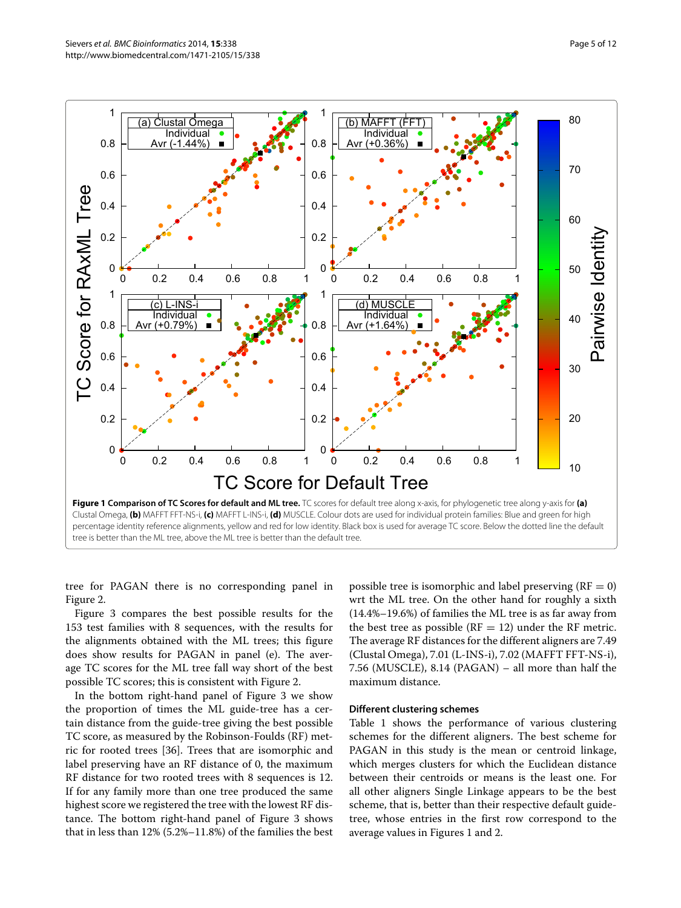

<span id="page-4-0"></span>tree for PAGAN there is no corresponding panel in Figure [2.](#page-5-0)

Figure [3](#page-6-0) compares the best possible results for the 153 test families with 8 sequences, with the results for the alignments obtained with the ML trees; this figure does show results for PAGAN in panel (e). The average TC scores for the ML tree fall way short of the best possible TC scores; this is consistent with Figure [2.](#page-5-0)

In the bottom right-hand panel of Figure [3](#page-6-0) we show the proportion of times the ML guide-tree has a certain distance from the guide-tree giving the best possible TC score, as measured by the Robinson-Foulds (RF) metric for rooted trees [\[36\]](#page-11-19). Trees that are isomorphic and label preserving have an RF distance of 0, the maximum RF distance for two rooted trees with 8 sequences is 12. If for any family more than one tree produced the same highest score we registered the tree with the lowest RF distance. The bottom right-hand panel of Figure [3](#page-6-0) shows that in less than 12% (5.2%–11.8%) of the families the best

possible tree is isomorphic and label preserving  $(RF = 0)$ wrt the ML tree. On the other hand for roughly a sixth (14.4%–19.6%) of families the ML tree is as far away from the best tree as possible ( $RF = 12$ ) under the RF metric. The average RF distances for the different aligners are 7.49 (Clustal Omega), 7.01 (L-INS-i), 7.02 (MAFFT FFT-NS-i), 7.56 (MUSCLE), 8.14 (PAGAN) – all more than half the maximum distance.

## **Different clustering schemes**

Table [1](#page-6-1) shows the performance of various clustering schemes for the different aligners. The best scheme for PAGAN in this study is the mean or centroid linkage, which merges clusters for which the Euclidean distance between their centroids or means is the least one. For all other aligners Single Linkage appears to be the best scheme, that is, better than their respective default guidetree, whose entries in the first row correspond to the average values in Figures [1](#page-4-0) and [2.](#page-5-0)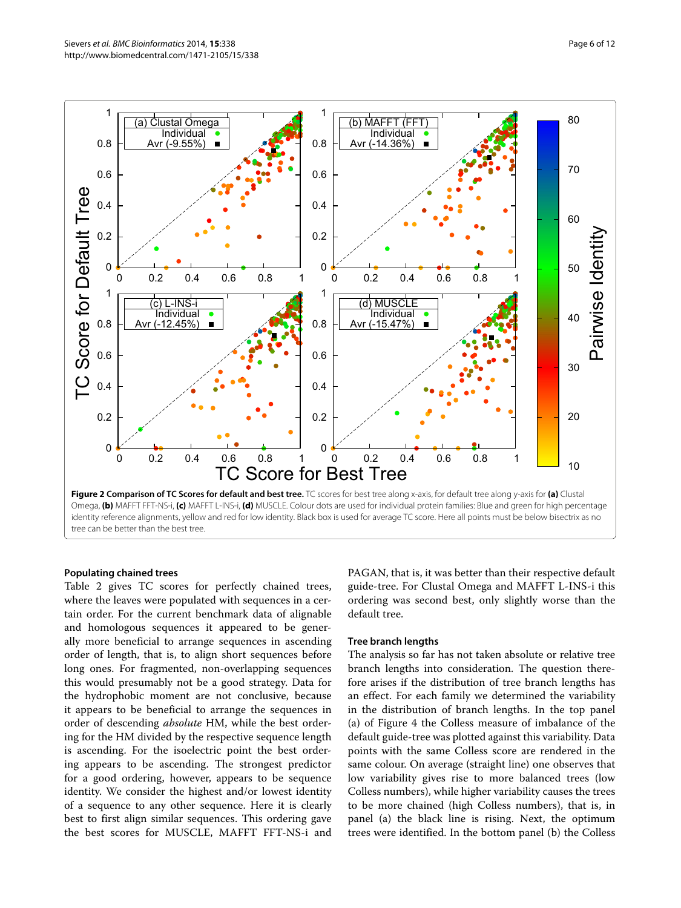

#### <span id="page-5-0"></span>**Populating chained trees**

Table [2](#page-7-0) gives TC scores for perfectly chained trees, where the leaves were populated with sequences in a certain order. For the current benchmark data of alignable and homologous sequences it appeared to be generally more beneficial to arrange sequences in ascending order of length, that is, to align short sequences before long ones. For fragmented, non-overlapping sequences this would presumably not be a good strategy. Data for the hydrophobic moment are not conclusive, because it appears to be beneficial to arrange the sequences in order of descending *absolute* HM, while the best ordering for the HM divided by the respective sequence length is ascending. For the isoelectric point the best ordering appears to be ascending. The strongest predictor for a good ordering, however, appears to be sequence identity. We consider the highest and/or lowest identity of a sequence to any other sequence. Here it is clearly best to first align similar sequences. This ordering gave the best scores for MUSCLE, MAFFT FFT-NS-i and PAGAN, that is, it was better than their respective default guide-tree. For Clustal Omega and MAFFT L-INS-i this ordering was second best, only slightly worse than the default tree.

#### **Tree branch lengths**

The analysis so far has not taken absolute or relative tree branch lengths into consideration. The question therefore arises if the distribution of tree branch lengths has an effect. For each family we determined the variability in the distribution of branch lengths. In the top panel (a) of Figure [4](#page-8-0) the Colless measure of imbalance of the default guide-tree was plotted against this variability. Data points with the same Colless score are rendered in the same colour. On average (straight line) one observes that low variability gives rise to more balanced trees (low Colless numbers), while higher variability causes the trees to be more chained (high Colless numbers), that is, in panel (a) the black line is rising. Next, the optimum trees were identified. In the bottom panel (b) the Colless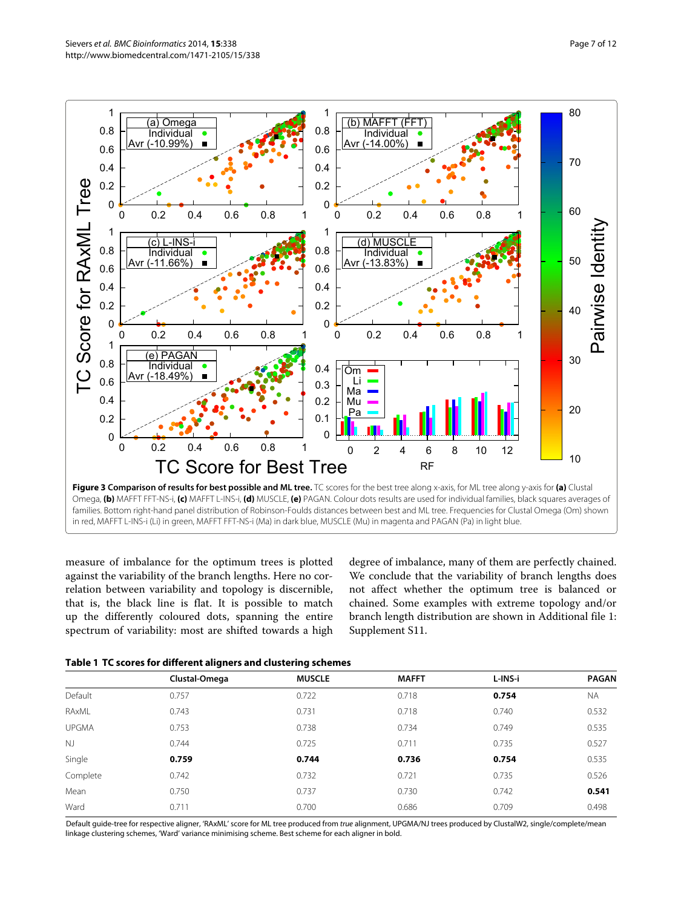

<span id="page-6-0"></span>measure of imbalance for the optimum trees is plotted against the variability of the branch lengths. Here no correlation between variability and topology is discernible, that is, the black line is flat. It is possible to match up the differently coloured dots, spanning the entire spectrum of variability: most are shifted towards a high

degree of imbalance, many of them are perfectly chained. We conclude that the variability of branch lengths does not affect whether the optimum tree is balanced or chained. Some examples with extreme topology and/or branch length distribution are shown in Additional file [1:](#page-10-16) Supplement S11.

<span id="page-6-1"></span>

|              | -<br>-        |               |              |         |              |
|--------------|---------------|---------------|--------------|---------|--------------|
|              | Clustal-Omega | <b>MUSCLE</b> | <b>MAFFT</b> | L-INS-i | <b>PAGAN</b> |
| Default      | 0.757         | 0.722         | 0.718        | 0.754   | <b>NA</b>    |
| RAxML        | 0.743         | 0.731         | 0.718        | 0.740   | 0.532        |
| <b>UPGMA</b> | 0.753         | 0.738         | 0.734        | 0.749   | 0.535        |
| NJ.          | 0.744         | 0.725         | 0.711        | 0.735   | 0.527        |
| Single       | 0.759         | 0.744         | 0.736        | 0.754   | 0.535        |
| Complete     | 0.742         | 0.732         | 0.721        | 0.735   | 0.526        |
| Mean         | 0.750         | 0.737         | 0.730        | 0.742   | 0.541        |
| Ward         | 0.711         | 0.700         | 0.686        | 0.709   | 0.498        |

Default guide-tree for respective aligner, 'RAxML' score for ML tree produced from *true* alignment, UPGMA/NJ trees produced by ClustalW2, single/complete/mean linkage clustering schemes, 'Ward' variance minimising scheme. Best scheme for each aligner in bold.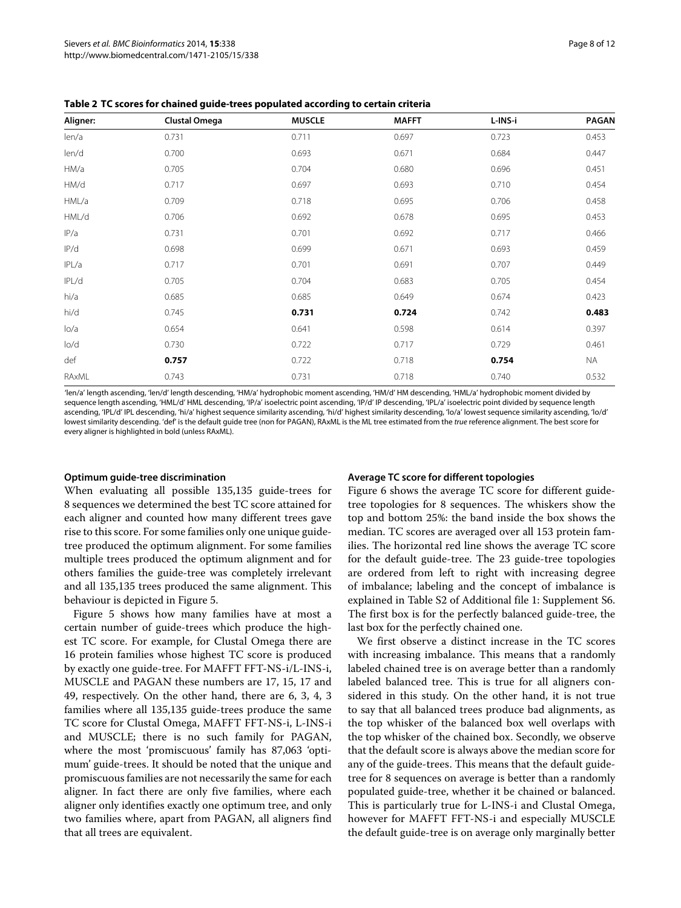<span id="page-7-0"></span>

| Aligner:         | Clustal Omega | <b>MUSCLE</b> | <b>MAFFT</b> | L-INS-i | <b>PAGAN</b> |
|------------------|---------------|---------------|--------------|---------|--------------|
| len/a            | 0.731         | 0.711         | 0.697        | 0.723   | 0.453        |
| len/d            | 0.700         | 0.693         | 0.671        | 0.684   | 0.447        |
| HM/a             | 0.705         | 0.704         | 0.680        | 0.696   | 0.451        |
| HM/d             | 0.717         | 0.697         | 0.693        | 0.710   | 0.454        |
| HML/a            | 0.709         | 0.718         | 0.695        | 0.706   | 0.458        |
| HML/d            | 0.706         | 0.692         | 0.678        | 0.695   | 0.453        |
| IP/a             | 0.731         | 0.701         | 0.692        | 0.717   | 0.466        |
| IP/d             | 0.698         | 0.699         | 0.671        | 0.693   | 0.459        |
| IPL/a            | 0.717         | 0.701         | 0.691        | 0.707   | 0.449        |
| IPL/d            | 0.705         | 0.704         | 0.683        | 0.705   | 0.454        |
| hi/a             | 0.685         | 0.685         | 0.649        | 0.674   | 0.423        |
| hi/d             | 0.745         | 0.731         | 0.724        | 0.742   | 0.483        |
| lo/a             | 0.654         | 0.641         | 0.598        | 0.614   | 0.397        |
| $I_{\text{O}}/d$ | 0.730         | 0.722         | 0.717        | 0.729   | 0.461        |
| def              | 0.757         | 0.722         | 0.718        | 0.754   | <b>NA</b>    |
| RAxML            | 0.743         | 0.731         | 0.718        | 0.740   | 0.532        |

**Table 2 TC scores for chained guide-trees populated according to certain criteria**

'len/a' length ascending, 'len/d' length descending, 'HM/a' hydrophobic moment ascending, 'HM/d' HM descending, 'HML/a' hydrophobic moment divided by sequence length ascending, 'HML/d' HML descending, 'IP/a' isoelectric point ascending, 'IP/d' IP descending, 'IPL/a' isoelectric point divided by sequence length ascending, 'IPL/d' IPL descending, 'hi/a' highest sequence similarity ascending, 'hi/d' highest similarity descending, 'lo/a' lowest sequence similarity ascending, 'lo/d' lowest similarity descending. 'def' is the default guide tree (non for PAGAN), RAxML is the ML tree estimated from the *true* reference alignment. The best score for every aligner is highlighted in bold (unless RAxML).

#### **Optimum guide-tree discrimination**

#### **Average TC score for different topologies**

When evaluating all possible 135,135 guide-trees for 8 sequences we determined the best TC score attained for each aligner and counted how many different trees gave rise to this score. For some families only one unique guidetree produced the optimum alignment. For some families multiple trees produced the optimum alignment and for others families the guide-tree was completely irrelevant and all 135,135 trees produced the same alignment. This behaviour is depicted in Figure [5.](#page-9-0)

Figure [5](#page-9-0) shows how many families have at most a certain number of guide-trees which produce the highest TC score. For example, for Clustal Omega there are 16 protein families whose highest TC score is produced by exactly one guide-tree. For MAFFT FFT-NS-i/L-INS-i, MUSCLE and PAGAN these numbers are 17, 15, 17 and 49, respectively. On the other hand, there are 6, 3, 4, 3 families where all 135,135 guide-trees produce the same TC score for Clustal Omega, MAFFT FFT-NS-i, L-INS-i and MUSCLE; there is no such family for PAGAN, where the most 'promiscuous' family has 87,063 'optimum' guide-trees. It should be noted that the unique and promiscuous families are not necessarily the same for each aligner. In fact there are only five families, where each aligner only identifies exactly one optimum tree, and only two families where, apart from PAGAN, all aligners find that all trees are equivalent.

Figure [6](#page-9-1) shows the average TC score for different guidetree topologies for 8 sequences. The whiskers show the top and bottom 25%: the band inside the box shows the median. TC scores are averaged over all 153 protein families. The horizontal red line shows the average TC score for the default guide-tree. The 23 guide-tree topologies are ordered from left to right with increasing degree of imbalance; labeling and the concept of imbalance is explained in Table S2 of Additional file [1:](#page-10-16) Supplement S6. The first box is for the perfectly balanced guide-tree, the last box for the perfectly chained one.

We first observe a distinct increase in the TC scores with increasing imbalance. This means that a randomly labeled chained tree is on average better than a randomly labeled balanced tree. This is true for all aligners considered in this study. On the other hand, it is not true to say that all balanced trees produce bad alignments, as the top whisker of the balanced box well overlaps with the top whisker of the chained box. Secondly, we observe that the default score is always above the median score for any of the guide-trees. This means that the default guidetree for 8 sequences on average is better than a randomly populated guide-tree, whether it be chained or balanced. This is particularly true for L-INS-i and Clustal Omega, however for MAFFT FFT-NS-i and especially MUSCLE the default guide-tree is on average only marginally better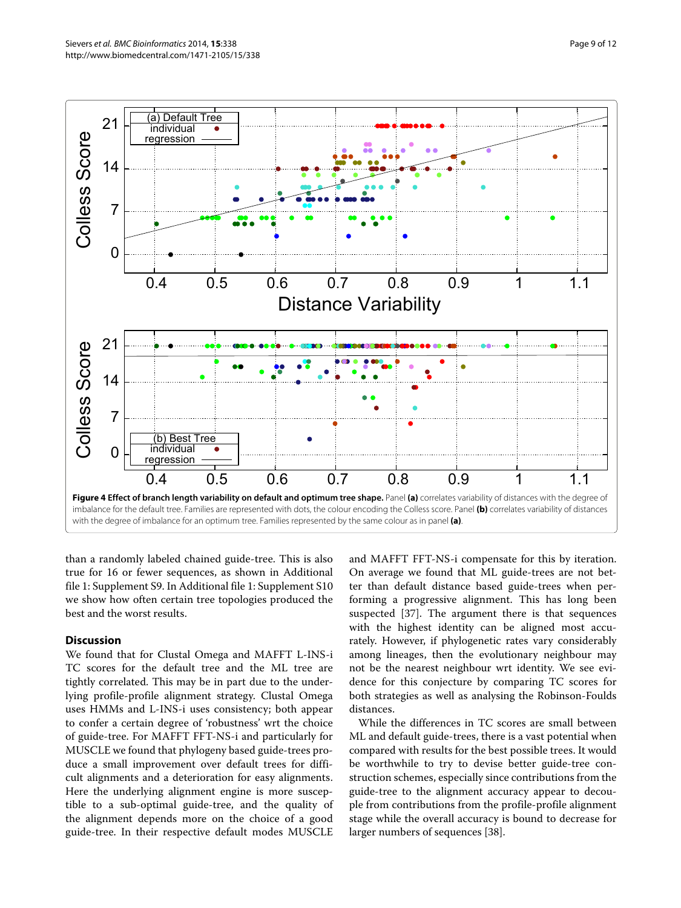

<span id="page-8-0"></span>than a randomly labeled chained guide-tree. This is also true for 16 or fewer sequences, as shown in Additional file [1:](#page-10-16) Supplement S9. In Additional file [1:](#page-10-16) Supplement S10 we show how often certain tree topologies produced the best and the worst results.

## **Discussion**

We found that for Clustal Omega and MAFFT L-INS-i TC scores for the default tree and the ML tree are tightly correlated. This may be in part due to the underlying profile-profile alignment strategy. Clustal Omega uses HMMs and L-INS-i uses consistency; both appear to confer a certain degree of 'robustness' wrt the choice of guide-tree. For MAFFT FFT-NS-i and particularly for MUSCLE we found that phylogeny based guide-trees produce a small improvement over default trees for difficult alignments and a deterioration for easy alignments. Here the underlying alignment engine is more susceptible to a sub-optimal guide-tree, and the quality of the alignment depends more on the choice of a good guide-tree. In their respective default modes MUSCLE

and MAFFT FFT-NS-i compensate for this by iteration. On average we found that ML guide-trees are not better than default distance based guide-trees when performing a progressive alignment. This has long been suspected [\[37\]](#page-11-20). The argument there is that sequences with the highest identity can be aligned most accurately. However, if phylogenetic rates vary considerably among lineages, then the evolutionary neighbour may not be the nearest neighbour wrt identity. We see evidence for this conjecture by comparing TC scores for both strategies as well as analysing the Robinson-Foulds distances.

While the differences in TC scores are small between ML and default guide-trees, there is a vast potential when compared with results for the best possible trees. It would be worthwhile to try to devise better guide-tree construction schemes, especially since contributions from the guide-tree to the alignment accuracy appear to decouple from contributions from the profile-profile alignment stage while the overall accuracy is bound to decrease for larger numbers of sequences [\[38\]](#page-11-21).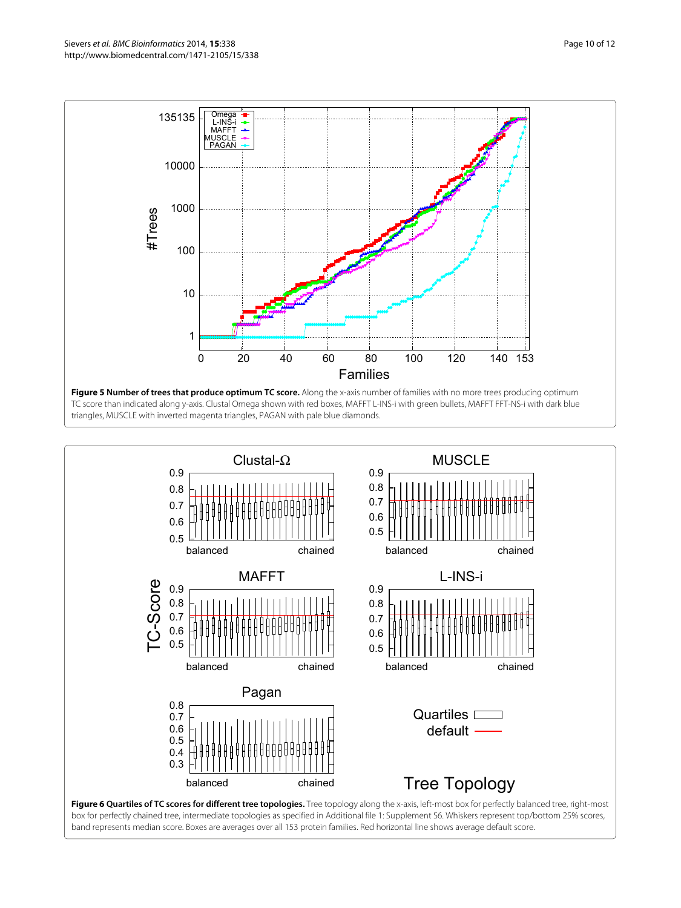



<span id="page-9-0"></span>

<span id="page-9-1"></span>band represents median score. Boxes are averages over all 153 protein families. Red horizontal line shows average default score.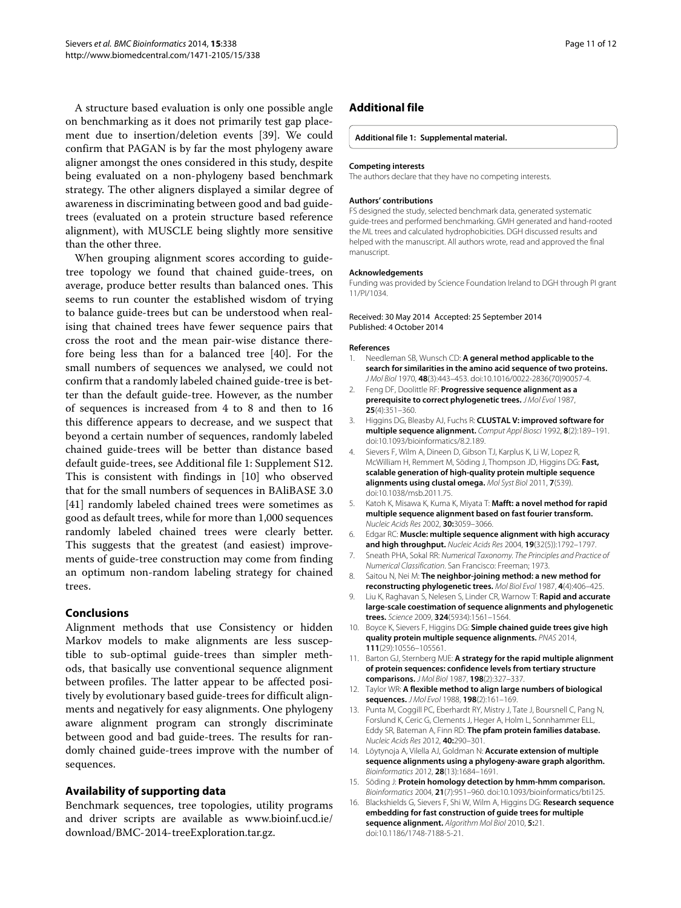A structure based evaluation is only one possible angle on benchmarking as it does not primarily test gap placement due to insertion/deletion events [\[39\]](#page-11-22). We could confirm that PAGAN is by far the most phylogeny aware aligner amongst the ones considered in this study, despite being evaluated on a non-phylogeny based benchmark strategy. The other aligners displayed a similar degree of awareness in discriminating between good and bad guidetrees (evaluated on a protein structure based reference alignment), with MUSCLE being slightly more sensitive than the other three.

When grouping alignment scores according to guidetree topology we found that chained guide-trees, on average, produce better results than balanced ones. This seems to run counter the established wisdom of trying to balance guide-trees but can be understood when realising that chained trees have fewer sequence pairs that cross the root and the mean pair-wise distance therefore being less than for a balanced tree [\[40\]](#page-11-23). For the small numbers of sequences we analysed, we could not confirm that a randomly labeled chained guide-tree is better than the default guide-tree. However, as the number of sequences is increased from 4 to 8 and then to 16 this difference appears to decrease, and we suspect that beyond a certain number of sequences, randomly labeled chained guide-trees will be better than distance based default guide-trees, see Additional file [1:](#page-10-16) Supplement S12. This is consistent with findings in [\[10\]](#page-10-8) who observed that for the small numbers of sequences in BAliBASE 3.0 [\[41\]](#page-11-24) randomly labeled chained trees were sometimes as good as default trees, while for more than 1,000 sequences randomly labeled chained trees were clearly better. This suggests that the greatest (and easiest) improvements of guide-tree construction may come from finding an optimum non-random labeling strategy for chained trees.

## **Conclusions**

Alignment methods that use Consistency or hidden Markov models to make alignments are less susceptible to sub-optimal guide-trees than simpler methods, that basically use conventional sequence alignment between profiles. The latter appear to be affected positively by evolutionary based guide-trees for difficult alignments and negatively for easy alignments. One phylogeny aware alignment program can strongly discriminate between good and bad guide-trees. The results for randomly chained guide-trees improve with the number of sequences.

## **Availability of supporting data**

Benchmark sequences, tree topologies, utility programs and driver scripts are available as [www.bioinf.ucd.ie/](www.bioinf.ucd.ie/download/BMC-2014-treeExploration.tar.gz) [download/BMC-2014-treeExploration.tar.gz.](www.bioinf.ucd.ie/download/BMC-2014-treeExploration.tar.gz)

## **Additional file**

#### <span id="page-10-16"></span>**[Additional file 1:](http://www.biomedcentral.com/content/supplementary/1471-2105-15-338-S1.pdf) Supplemental material.**

#### **Competing interests**

The authors declare that they have no competing interests.

#### **Authors' contributions**

FS designed the study, selected benchmark data, generated systematic guide-trees and performed benchmarking. GMH generated and hand-rooted the ML trees and calculated hydrophobicities. DGH discussed results and helped with the manuscript. All authors wrote, read and approved the final manuscript.

#### **Acknowledgements**

Funding was provided by Science Foundation Ireland to DGH through PI grant 11/PI/1034.

#### Received: 30 May 2014 Accepted: 25 September 2014 Published: 4 October 2014

#### **References**

- <span id="page-10-0"></span>1. Needleman SB, Wunsch CD: **A general method applicable to the search for similarities in the amino acid sequence of two proteins.** J Mol Biol 1970, **48**(3):443–453. doi:10.1016/0022-2836(70)90057-4.
- <span id="page-10-1"></span>2. Feng DF, Doolittle RF: **Progressive sequence alignment as a prerequisite to correct phylogenetic trees.** J Mol Evol 1987, **25**(4):351–360.
- <span id="page-10-2"></span>3. Higgins DG, Bleasby AJ, Fuchs R: **CLUSTAL V: improved software for multiple sequence alignment.** Comput Appl Biosci 1992, **8**(2):189–191. doi:10.1093/bioinformatics/8.2.189.
- <span id="page-10-3"></span>4. Sievers F, Wilm A, Dineen D, Gibson TJ, Karplus K, Li W, Lopez R, McWilliam H, Remmert M, Söding J, Thompson JD, Higgins DG: **Fast, scalable generation of high-quality protein multiple sequence alignments using clustal omega.** Mol Syst Biol 2011, **7**(539). doi:10.1038/msb.2011.75.
- <span id="page-10-12"></span>5. Katoh K, Misawa K, Kuma K, Miyata T: **Mafft: a novel method for rapid multiple sequence alignment based on fast fourier transform.** Nucleic Acids Res 2002, **30:**3059–3066.
- <span id="page-10-4"></span>6. Edgar RC: **Muscle: multiple sequence alignment with high accuracy and high throughput.** Nucleic Acids Res 2004, **19**(32(5)):1792–1797.
- <span id="page-10-5"></span>7. Sneath PHA, Sokal RR: Numerical Taxonomy. The Principles and Practice of Numerical Classification. San Francisco: Freeman; 1973.
- <span id="page-10-6"></span>8. Saitou N, Nei M: **The neighbor-joining method: a new method for reconstructing phylogenetic trees.** Mol Biol Evol 1987, **4**(4):406–425.
- <span id="page-10-7"></span>9. Liu K, Raghavan S, Nelesen S, Linder CR, Warnow T: **Rapid and accurate large-scale coestimation of sequence alignments and phylogenetic trees.** Science 2009, **324**(5934):1561–1564.
- <span id="page-10-8"></span>10. Boyce K, Sievers F, Higgins DG: **Simple chained guide trees give high quality protein multiple sequence alignments.** PNAS 2014, **111**(29):10556–105561.
- <span id="page-10-9"></span>11. Barton GJ, Sternberg MJE: **A strategy for the rapid multiple alignment of protein sequences: confidence levels from tertiary structure comparisons.** J Mol Biol 1987, **198**(2):327–337.
- <span id="page-10-10"></span>12. Taylor WR: **A flexible method to align large numbers of biological sequences.** J Mol Evol 1988, **198**(2):161–169.
- <span id="page-10-11"></span>13. Punta M, Coggill PC, Eberhardt RY, Mistry J, Tate J, Boursnell C, Pang N, Forslund K, Ceric G, Clements J, Heger A, Holm L, Sonnhammer ELL, Eddy SR, Bateman A, Finn RD: **The pfam protein families database.** Nucleic Acids Res 2012, **40:**290–301.
- <span id="page-10-13"></span>14. Löytynoja A, Vilella AJ, Goldman N: **Accurate extension of multiple sequence alignments using a phylogeny-aware graph algorithm.** Bioinformatics 2012, **28**(13):1684–1691.
- <span id="page-10-14"></span>15. Söding J: **Protein homology detection by hmm-hmm comparison.** Bioinformatics 2004, **21**(7):951–960. doi:10.1093/bioinformatics/bti125.
- <span id="page-10-15"></span>16. Blackshields G, Sievers F, Shi W, Wilm A, Higgins DG: **Research sequence embedding for fast construction of guide trees for multiple sequence alignment.** Algorithm Mol Biol 2010, **5:**21. doi:10.1186/1748-7188-5-21.